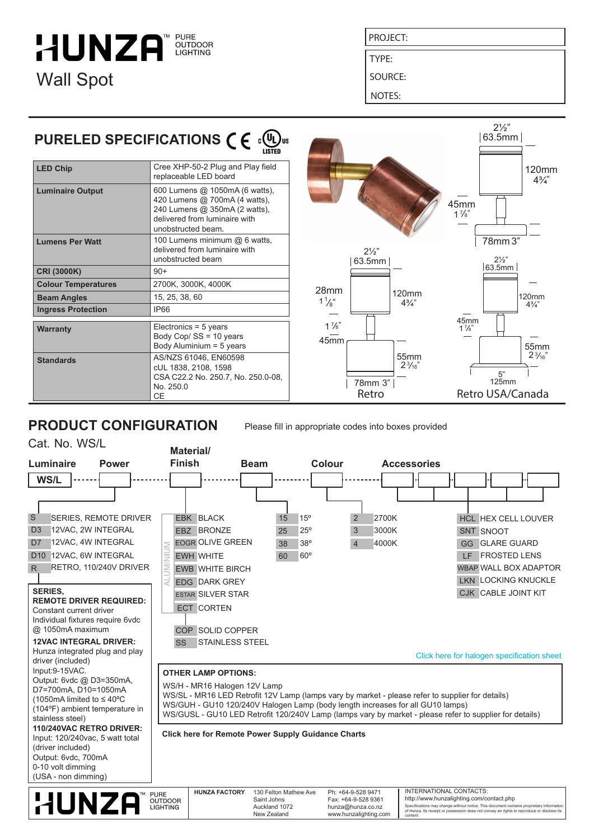### **HUNZA** OUTDOOR **LIGHTING** Wall Spot

PROJECT:

TYPE:

SOURCE:

NOTES:

#### **LED Chip Luminaire Output** Cree XHP-50-2 Plug and Play field replaceable LED board 600 Lumens @ 1050mA (6 watts), 420 Lumens @ 700mA (4 watts), 240 Lumens @ 350mA (2 watts), delivered from luminaire with PURELED SPECIFICATIONS  $\epsilon \in \mathbb{C}$

|                            | delivered from luminaire with<br>unobstructed beam.                                                    |  |
|----------------------------|--------------------------------------------------------------------------------------------------------|--|
| <b>Lumens Per Watt</b>     | 100 Lumens minimum @ 6 watts.<br>delivered from luminaire with<br>unobstructed beam                    |  |
| <b>CRI (3000K)</b>         | $90+$                                                                                                  |  |
| <b>Colour Temperatures</b> | 2700K, 3000K, 4000K                                                                                    |  |
| <b>Beam Angles</b>         | 15, 25, 38, 60                                                                                         |  |
| <b>Ingress Protection</b>  | IP66                                                                                                   |  |
| Warranty                   | Electronics = 5 years<br>Body Cop/ SS = 10 years<br>Body Aluminium = 5 years                           |  |
| <b>Standards</b>           | AS/NZS 61046, EN60598<br>cUL 1838, 2108, 1598<br>CSA C22.2 No. 250.7, No. 250.0-08,<br>No. 250.0<br>СE |  |



# **PRODUCT CONFIGURATION**

Please fill in appropriate codes into boxes provided





**HUNZA FACTORY** 130 Felton Mathew Ave Saint Johns Auckland 1072 New Zealand

Ph: +64-9-528 9471 Fax: +64-9-528 9361 hunza@hunza.co.nz www.hunzalighting.com

Specifications may change without notice. This document contains proprietary information of Hunza. Its receipt or possession does not convey an rights to reproduce or disclose its content. INTERNATIONAL CONTACTS: http://www.hunzalighting.com/contact.php